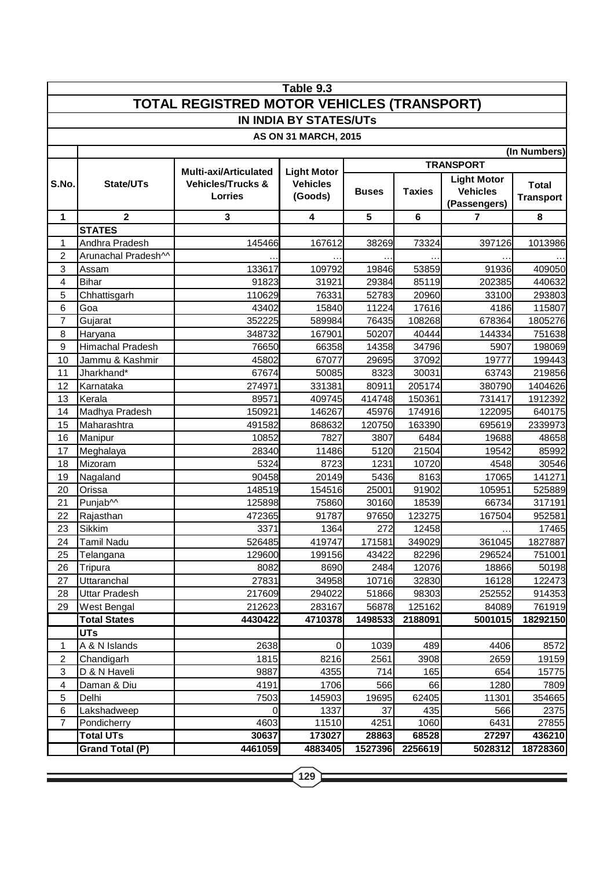| Table 9.3                                  |                         |                                                                         |                                                  |              |               |                    |                  |  |  |  |  |  |
|--------------------------------------------|-------------------------|-------------------------------------------------------------------------|--------------------------------------------------|--------------|---------------|--------------------|------------------|--|--|--|--|--|
| TOTAL REGISTRED MOTOR VEHICLES (TRANSPORT) |                         |                                                                         |                                                  |              |               |                    |                  |  |  |  |  |  |
| <b>IN INDIA BY STATES/UTs</b>              |                         |                                                                         |                                                  |              |               |                    |                  |  |  |  |  |  |
| <b>AS ON 31 MARCH, 2015</b>                |                         |                                                                         |                                                  |              |               |                    |                  |  |  |  |  |  |
| (In Numbers)                               |                         |                                                                         |                                                  |              |               |                    |                  |  |  |  |  |  |
|                                            | <b>TRANSPORT</b>        |                                                                         |                                                  |              |               |                    |                  |  |  |  |  |  |
| S.No.                                      | State/UTs               | <b>Multi-axi/Articulated</b><br><b>Vehicles/Trucks &amp;</b><br>Lorries | <b>Light Motor</b><br><b>Vehicles</b><br>(Goods) |              |               | <b>Light Motor</b> |                  |  |  |  |  |  |
|                                            |                         |                                                                         |                                                  | <b>Buses</b> | <b>Taxies</b> | <b>Vehicles</b>    | <b>Total</b>     |  |  |  |  |  |
|                                            |                         |                                                                         |                                                  |              |               | (Passengers)       | <b>Transport</b> |  |  |  |  |  |
| 1                                          | $\mathbf{2}$            | 3                                                                       | 4                                                | 5            | 6             | 7                  | 8                |  |  |  |  |  |
|                                            | <b>STATES</b>           |                                                                         |                                                  |              |               |                    |                  |  |  |  |  |  |
| 1                                          | Andhra Pradesh          | 145466                                                                  | 167612                                           | 38269        | 73324         | 397126             | 1013986          |  |  |  |  |  |
| 2                                          | Arunachal Pradesh^^     |                                                                         |                                                  |              |               |                    |                  |  |  |  |  |  |
| 3                                          | Assam                   | 133617                                                                  | 109792                                           | 19846        | 53859         | 91936              | 409050           |  |  |  |  |  |
| 4                                          | <b>Bihar</b>            | 91823                                                                   | 31921                                            | 29384        | 85119         | 202385             | 440632           |  |  |  |  |  |
| 5                                          | Chhattisgarh            | 110629                                                                  | 76331                                            | 52783        | 20960         | 33100              | 293803           |  |  |  |  |  |
| 6                                          | Goa                     | 43402                                                                   | 15840                                            | 11224        | 17616         | 4186               | 115807           |  |  |  |  |  |
| 7                                          | Gujarat                 | 352225                                                                  | 589984                                           | 76435        | 108268        | 678364             | 1805276          |  |  |  |  |  |
| 8                                          | Haryana                 | 348732                                                                  | 167901                                           | 50207        | 40444         | 144334             | 751638           |  |  |  |  |  |
| 9                                          | <b>Himachal Pradesh</b> | 76650                                                                   | 66358                                            | 14358        | 34796         | 5907               | 198069           |  |  |  |  |  |
| 10                                         | Jammu & Kashmir         | 45802                                                                   | 67077                                            | 29695        | 37092         | 19777              | 199443           |  |  |  |  |  |
| 11                                         | Jharkhand*              | 67674                                                                   | 50085                                            | 8323         | 30031         | 63743              | 219856           |  |  |  |  |  |
| 12                                         | Karnataka               | 274971                                                                  | 331381                                           | 80911        | 205174        | 380790             | 1404626          |  |  |  |  |  |
| 13                                         | Kerala                  | 89571                                                                   | 409745                                           | 414748       | 150361        | 731417             | 1912392          |  |  |  |  |  |
| 14                                         | Madhya Pradesh          | 150921                                                                  | 146267                                           | 45976        | 174916        | 122095             | 640175           |  |  |  |  |  |
| 15                                         | Maharashtra             | 491582                                                                  | 868632                                           | 120750       | 163390        | 695619             | 2339973          |  |  |  |  |  |
| 16                                         | Manipur                 | 10852                                                                   | 7827                                             | 3807         | 6484          | 19688              | 48658            |  |  |  |  |  |
| 17                                         | Meghalaya               | 28340                                                                   | 11486                                            | 5120         | 21504         | 19542              | 85992            |  |  |  |  |  |
| 18                                         | Mizoram                 | 5324                                                                    | 8723                                             | 1231         | 10720         | 4548               | 30546            |  |  |  |  |  |
| 19                                         | Nagaland                | 90458                                                                   | 20149                                            | 5436         | 8163          | 17065              | 141271           |  |  |  |  |  |
| 20                                         | Orissa                  | 148519                                                                  | 154516                                           | 25001        | 91902         | 105951             | 525889           |  |  |  |  |  |
| 21                                         | Punjab^^                | 125898                                                                  | 75860                                            | 30160        | 18539         | 66734              | 317191           |  |  |  |  |  |
| 22                                         | Rajasthan               | 472365                                                                  | 91787                                            | 97650        | 123275        | 167504             | 952581           |  |  |  |  |  |
| 23                                         | <b>Sikkim</b>           | 3371                                                                    | 1364                                             | 272          | 12458         |                    | 17465            |  |  |  |  |  |
| 24                                         | <b>Tamil Nadu</b>       | 526485                                                                  | 419747                                           | 171581       | 349029        | 361045             | 1827887          |  |  |  |  |  |
| 25                                         | Telangana               | 129600                                                                  | 199156                                           | 43422        | 82296         | 296524             | 751001           |  |  |  |  |  |
| 26                                         | Tripura                 | 8082                                                                    | 8690                                             | 2484         | 12076         | 18866              | 50198            |  |  |  |  |  |
| 27                                         | Uttaranchal             | 27831                                                                   | 34958                                            | 10716        | 32830         | 16128              | 122473           |  |  |  |  |  |
| 28                                         | <b>Uttar Pradesh</b>    | 217609                                                                  | 294022                                           | 51866        | 98303         | 252552             | 914353           |  |  |  |  |  |
| 29                                         | West Bengal             | 212623                                                                  | 283167                                           | 56878        | 125162        | 84089              | 761919           |  |  |  |  |  |
|                                            | <b>Total States</b>     | 4430422                                                                 | 4710378                                          | 1498533      | 2188091       | 5001015            | 18292150         |  |  |  |  |  |
|                                            | <b>UTs</b>              |                                                                         |                                                  |              |               |                    |                  |  |  |  |  |  |
| 1                                          | A & N Islands           | 2638                                                                    | 0                                                | 1039         | 489           | 4406               | 8572             |  |  |  |  |  |
| $\overline{2}$                             | Chandigarh              | 1815                                                                    | 8216                                             | 2561         | 3908          | 2659               | 19159            |  |  |  |  |  |
| $\mathbf{3}$                               | D & N Haveli            | 9887                                                                    | 4355                                             | 714          | 165           | 654                | 15775            |  |  |  |  |  |
| 4                                          | Daman & Diu             | 4191                                                                    | 1706                                             | 566          | 66            | 1280               | 7809             |  |  |  |  |  |
| 5                                          | Delhi                   | 7503                                                                    | 145903                                           | 19695        | 62405         | 11301              | 354665           |  |  |  |  |  |
| 6                                          | Lakshadweep             | 0                                                                       | 1337                                             | 37           | 435           | 566                | 2375             |  |  |  |  |  |
| $\overline{7}$                             | Pondicherry             | 4603                                                                    | 11510                                            | 4251         | 1060          | 6431               | 27855            |  |  |  |  |  |
|                                            | <b>Total UTs</b>        | 30637                                                                   | 173027                                           | 28863        | 68528         | 27297              | 436210           |  |  |  |  |  |
|                                            | <b>Grand Total (P)</b>  | 4461059                                                                 | 4883405                                          | 1527396      | 2256619       | 5028312            | 18728360         |  |  |  |  |  |

<u> 1989 - Johann Stein, marwolaethau a bhann an t-Amhair an t-Amhair an t-Amhair an t-Amhair an t-Amhair an t-A</u>